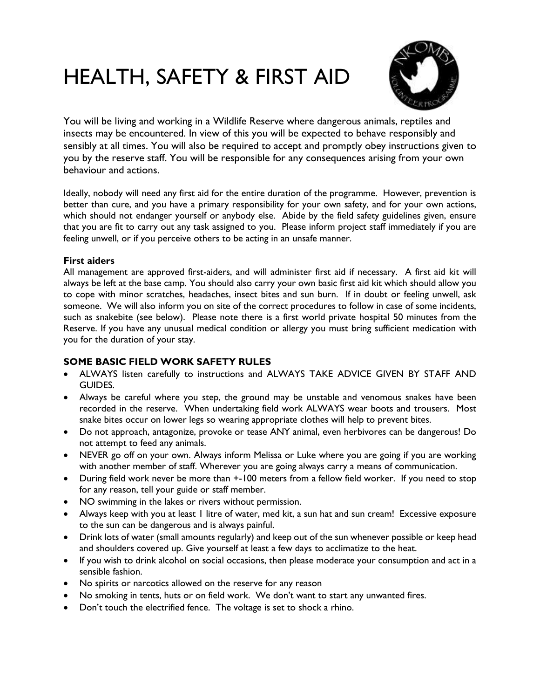# HEALTH, SAFETY & FIRST AID



You will be living and working in a Wildlife Reserve where dangerous animals, reptiles and insects may be encountered. In view of this you will be expected to behave responsibly and sensibly at all times. You will also be required to accept and promptly obey instructions given to you by the reserve staff. You will be responsible for any consequences arising from your own behaviour and actions.

Ideally, nobody will need any first aid for the entire duration of the programme. However, prevention is better than cure, and you have a primary responsibility for your own safety, and for your own actions, which should not endanger yourself or anybody else. Abide by the field safety guidelines given, ensure that you are fit to carry out any task assigned to you. Please inform project staff immediately if you are feeling unwell, or if you perceive others to be acting in an unsafe manner.

## **First aiders**

All management are approved first-aiders, and will administer first aid if necessary. A first aid kit will always be left at the base camp. You should also carry your own basic first aid kit which should allow you to cope with minor scratches, headaches, insect bites and sun burn. If in doubt or feeling unwell, ask someone. We will also inform you on site of the correct procedures to follow in case of some incidents, such as snakebite (see below). Please note there is a first world private hospital 50 minutes from the Reserve. If you have any unusual medical condition or allergy you must bring sufficient medication with you for the duration of your stay.

# **SOME BASIC FIELD WORK SAFETY RULES**

- ALWAYS listen carefully to instructions and ALWAYS TAKE ADVICE GIVEN BY STAFF AND GUIDES.
- Always be careful where you step, the ground may be unstable and venomous snakes have been recorded in the reserve. When undertaking field work ALWAYS wear boots and trousers. Most snake bites occur on lower legs so wearing appropriate clothes will help to prevent bites.
- Do not approach, antagonize, provoke or tease ANY animal, even herbivores can be dangerous! Do not attempt to feed any animals.
- NEVER go off on your own. Always inform Melissa or Luke where you are going if you are working with another member of staff. Wherever you are going always carry a means of communication.
- During field work never be more than  $+100$  meters from a fellow field worker. If you need to stop for any reason, tell your guide or staff member.
- NO swimming in the lakes or rivers without permission.
- Always keep with you at least 1 litre of water, med kit, a sun hat and sun cream! Excessive exposure to the sun can be dangerous and is always painful.
- Drink lots of water (small amounts regularly) and keep out of the sun whenever possible or keep head and shoulders covered up. Give yourself at least a few days to acclimatize to the heat.
- If you wish to drink alcohol on social occasions, then please moderate your consumption and act in a sensible fashion.
- No spirits or narcotics allowed on the reserve for any reason
- No smoking in tents, huts or on field work. We don't want to start any unwanted fires.
- Don't touch the electrified fence. The voltage is set to shock a rhino.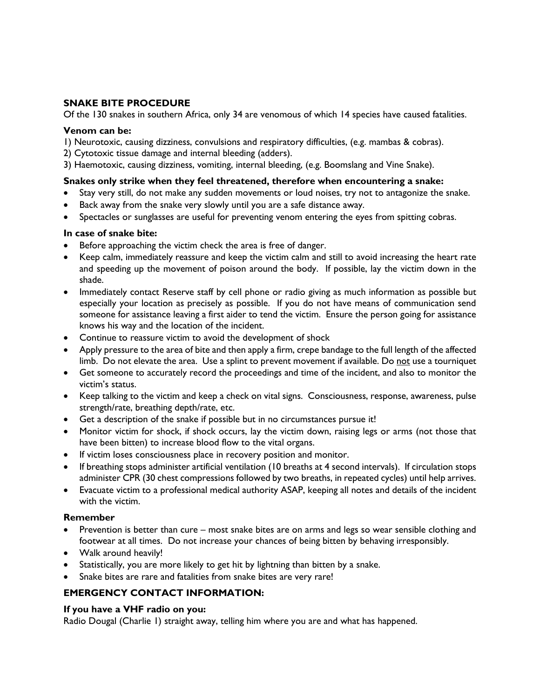# **SNAKE BITE PROCEDURE**

Of the 130 snakes in southern Africa, only 34 are venomous of which 14 species have caused fatalities.

#### **Venom can be:**

1) Neurotoxic, causing dizziness, convulsions and respiratory difficulties, (e.g. mambas & cobras).

- 2) Cytotoxic tissue damage and internal bleeding (adders).
- 3) Haemotoxic, causing dizziness, vomiting, internal bleeding, (e.g. Boomslang and Vine Snake).

## **Snakes only strike when they feel threatened, therefore when encountering a snake:**

- Stay very still, do not make any sudden movements or loud noises, try not to antagonize the snake.
- Back away from the snake very slowly until you are a safe distance away.
- Spectacles or sunglasses are useful for preventing venom entering the eyes from spitting cobras.

## **In case of snake bite:**

- Before approaching the victim check the area is free of danger.
- Keep calm, immediately reassure and keep the victim calm and still to avoid increasing the heart rate and speeding up the movement of poison around the body. If possible, lay the victim down in the shade.
- Immediately contact Reserve staff by cell phone or radio giving as much information as possible but especially your location as precisely as possible. If you do not have means of communication send someone for assistance leaving a first aider to tend the victim. Ensure the person going for assistance knows his way and the location of the incident.
- Continue to reassure victim to avoid the development of shock
- Apply pressure to the area of bite and then apply a firm, crepe bandage to the full length of the affected limb. Do not elevate the area. Use a splint to prevent movement if available. Do not use a tourniquet
- Get someone to accurately record the proceedings and time of the incident, and also to monitor the victim's status.
- Keep talking to the victim and keep a check on vital signs. Consciousness, response, awareness, pulse strength/rate, breathing depth/rate, etc.
- Get a description of the snake if possible but in no circumstances pursue it!
- Monitor victim for shock, if shock occurs, lay the victim down, raising legs or arms (not those that have been bitten) to increase blood flow to the vital organs.
- If victim loses consciousness place in recovery position and monitor.
- If breathing stops administer artificial ventilation (10 breaths at 4 second intervals). If circulation stops administer CPR (30 chest compressions followed by two breaths, in repeated cycles) until help arrives.
- Evacuate victim to a professional medical authority ASAP, keeping all notes and details of the incident with the victim.

## **Remember**

- Prevention is better than cure most snake bites are on arms and legs so wear sensible clothing and footwear at all times. Do not increase your chances of being bitten by behaving irresponsibly.
- Walk around heavily!
- Statistically, you are more likely to get hit by lightning than bitten by a snake.
- Snake bites are rare and fatalities from snake bites are very rare!

# **EMERGENCY CONTACT INFORMATION:**

## **If you have a VHF radio on you:**

Radio Dougal (Charlie 1) straight away, telling him where you are and what has happened.